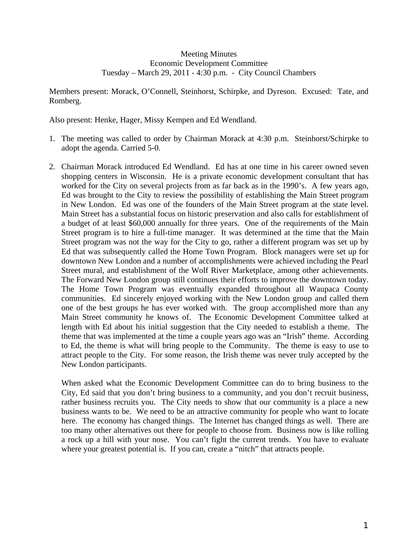## Meeting Minutes Economic Development Committee Tuesday – March 29, 2011 - 4:30 p.m. - City Council Chambers

Members present: Morack, O'Connell, Steinhorst, Schirpke, and Dyreson. Excused: Tate, and Romberg.

Also present: Henke, Hager, Missy Kempen and Ed Wendland.

- 1. The meeting was called to order by Chairman Morack at 4:30 p.m. Steinhorst/Schirpke to adopt the agenda. Carried 5-0.
- 2. Chairman Morack introduced Ed Wendland. Ed has at one time in his career owned seven shopping centers in Wisconsin. He is a private economic development consultant that has worked for the City on several projects from as far back as in the 1990's. A few years ago, Ed was brought to the City to review the possibility of establishing the Main Street program in New London. Ed was one of the founders of the Main Street program at the state level. Main Street has a substantial focus on historic preservation and also calls for establishment of a budget of at least \$60,000 annually for three years. One of the requirements of the Main Street program is to hire a full-time manager. It was determined at the time that the Main Street program was not the way for the City to go, rather a different program was set up by Ed that was subsequently called the Home Town Program. Block managers were set up for downtown New London and a number of accomplishments were achieved including the Pearl Street mural, and establishment of the Wolf River Marketplace, among other achievements. The Forward New London group still continues their efforts to improve the downtown today. The Home Town Program was eventually expanded throughout all Waupaca County communities. Ed sincerely enjoyed working with the New London group and called them one of the best groups he has ever worked with. The group accomplished more than any Main Street community he knows of. The Economic Development Committee talked at length with Ed about his initial suggestion that the City needed to establish a theme. The theme that was implemented at the time a couple years ago was an "Irish" theme. According to Ed, the theme is what will bring people to the Community. The theme is easy to use to attract people to the City. For some reason, the Irish theme was never truly accepted by the New London participants.

When asked what the Economic Development Committee can do to bring business to the City, Ed said that you don't bring business to a community, and you don't recruit business, rather business recruits you. The City needs to show that our community is a place a new business wants to be. We need to be an attractive community for people who want to locate here. The economy has changed things. The Internet has changed things as well. There are too many other alternatives out there for people to choose from. Business now is like rolling a rock up a hill with your nose. You can't fight the current trends. You have to evaluate where your greatest potential is. If you can, create a "nitch" that attracts people.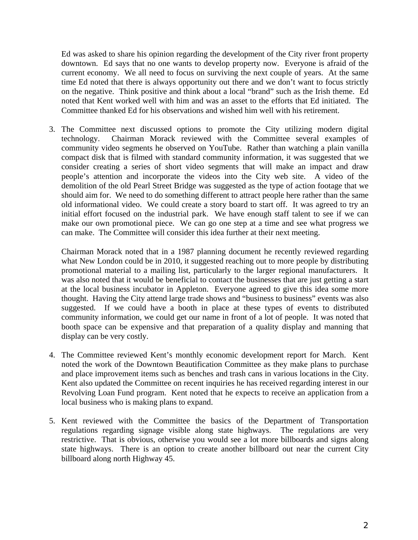Ed was asked to share his opinion regarding the development of the City river front property downtown. Ed says that no one wants to develop property now. Everyone is afraid of the current economy. We all need to focus on surviving the next couple of years. At the same time Ed noted that there is always opportunity out there and we don't want to focus strictly on the negative. Think positive and think about a local "brand" such as the Irish theme. Ed noted that Kent worked well with him and was an asset to the efforts that Ed initiated. The Committee thanked Ed for his observations and wished him well with his retirement.

3. The Committee next discussed options to promote the City utilizing modern digital technology. Chairman Morack reviewed with the Committee several examples of community video segments he observed on YouTube. Rather than watching a plain vanilla compact disk that is filmed with standard community information, it was suggested that we consider creating a series of short video segments that will make an impact and draw people's attention and incorporate the videos into the City web site. A video of the demolition of the old Pearl Street Bridge was suggested as the type of action footage that we should aim for. We need to do something different to attract people here rather than the same old informational video. We could create a story board to start off. It was agreed to try an initial effort focused on the industrial park. We have enough staff talent to see if we can make our own promotional piece. We can go one step at a time and see what progress we can make. The Committee will consider this idea further at their next meeting.

Chairman Morack noted that in a 1987 planning document he recently reviewed regarding what New London could be in 2010, it suggested reaching out to more people by distributing promotional material to a mailing list, particularly to the larger regional manufacturers. It was also noted that it would be beneficial to contact the businesses that are just getting a start at the local business incubator in Appleton. Everyone agreed to give this idea some more thought. Having the City attend large trade shows and "business to business" events was also suggested. If we could have a booth in place at these types of events to distributed community information, we could get our name in front of a lot of people. It was noted that booth space can be expensive and that preparation of a quality display and manning that display can be very costly.

- 4. The Committee reviewed Kent's monthly economic development report for March. Kent noted the work of the Downtown Beautification Committee as they make plans to purchase and place improvement items such as benches and trash cans in various locations in the City. Kent also updated the Committee on recent inquiries he has received regarding interest in our Revolving Loan Fund program. Kent noted that he expects to receive an application from a local business who is making plans to expand.
- 5. Kent reviewed with the Committee the basics of the Department of Transportation regulations regarding signage visible along state highways. The regulations are very restrictive. That is obvious, otherwise you would see a lot more billboards and signs along state highways. There is an option to create another billboard out near the current City billboard along north Highway 45.